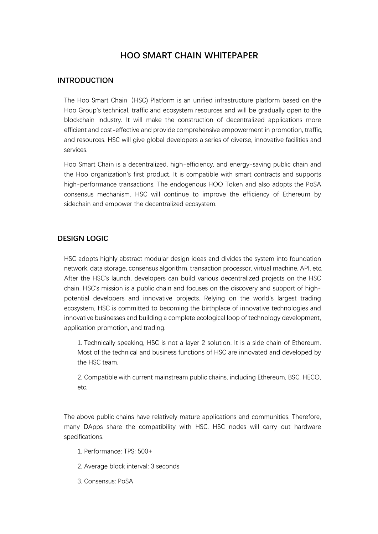# **HOO SMART CHAIN WHITEPAPER**

#### **INTRODUCTION**

The Hoo Smart Chain (HSC) Platform is an unified infrastructure platform based on the Hoo Group's technical, traffic and ecosystem resources and will be gradually open to the blockchain industry. It will make the construction of decentralized applications more efficient and cost-effective and provide comprehensive empowerment in promotion, traffic, and resources. HSC will give global developers a series of diverse, innovative facilities and services.

Hoo Smart Chain is a decentralized, high-efficiency, and energy-saving public chain and the Hoo organization's first product. It is compatible with smart contracts and supports high-performance transactions. The endogenous HOO Token and also adopts the PoSA consensus mechanism. HSC will continue to improve the efficiency of Ethereum by sidechain and empower the decentralized ecosystem.

## **DESIGN LOGIC**

HSC adopts highly abstract modular design ideas and divides the system into foundation network, data storage, consensus algorithm, transaction processor, virtual machine, API, etc. After the HSC's launch, developers can build various decentralized projects on the HSC chain. HSC's mission is a public chain and focuses on the discovery and support of highpotential developers and innovative projects. Relying on the world's largest trading ecosystem, HSC is committed to becoming the birthplace of innovative technologies and innovative businesses and building a complete ecological loop of technology development, application promotion, and trading.

1. Technically speaking, HSC is not a layer 2 solution. It is a side chain of Ethereum. Most of the technical and business functions of HSC are innovated and developed by the HSC team.

2. Compatible with current mainstream public chains, including Ethereum, BSC, HECO, etc.

The above public chains have relatively mature applications and communities. Therefore, many DApps share the compatibility with HSC. HSC nodes will carry out hardware specifications.

- 1. Performance: TPS: 500+
- 2. Average block interval: 3 seconds
- 3. Consensus: PoSA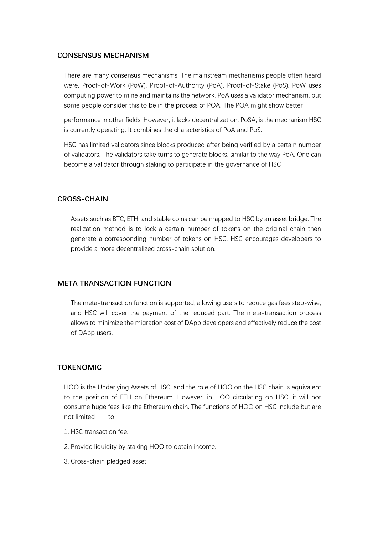#### **CONSENSUS MECHANISM**

There are many consensus mechanisms. The mainstream mechanisms people often heard were, Proof-of-Work (PoW), Proof-of-Authority (PoA), Proof-of-Stake (PoS). PoW uses computing power to mine and maintains the network. PoA uses a validator mechanism, but some people consider this to be in the process of POA. The POA might show better

performance in other fields. However, it lacks decentralization. PoSA, is the mechanism HSC is currently operating. It combines the characteristics of PoA and PoS.

HSC has limited validators since blocks produced after being verified by a certain number of validators. The validators take turns to generate blocks, similar to the way PoA. One can become a validator through staking to participate in the governance of HSC

## **CROSS-CHAIN**

Assets such as BTC, ETH, and stable coins can be mapped to HSC by an asset bridge. The realization method is to lock a certain number of tokens on the original chain then generate a corresponding number of tokens on HSC. HSC encourages developers to provide a more decentralized cross-chain solution.

## **META TRANSACTION FUNCTION**

The meta-transaction function is supported, allowing users to reduce gas fees step-wise, and HSC will cover the payment of the reduced part. The meta-transaction process allows to minimize the migration cost of DApp developers and effectively reduce the cost of DApp users.

#### **TOKENOMIC**

HOO is the Underlying Assets of HSC, and the role of HOO on the HSC chain is equivalent to the position of ETH on Ethereum. However, in HOO circulating on HSC, it will not consume huge fees like the Ethereum chain. The functions of HOO on HSC include but are not limited to

- 1. HSC transaction fee.
- 2. Provide liquidity by staking HOO to obtain income.
- 3. Cross-chain pledged asset.